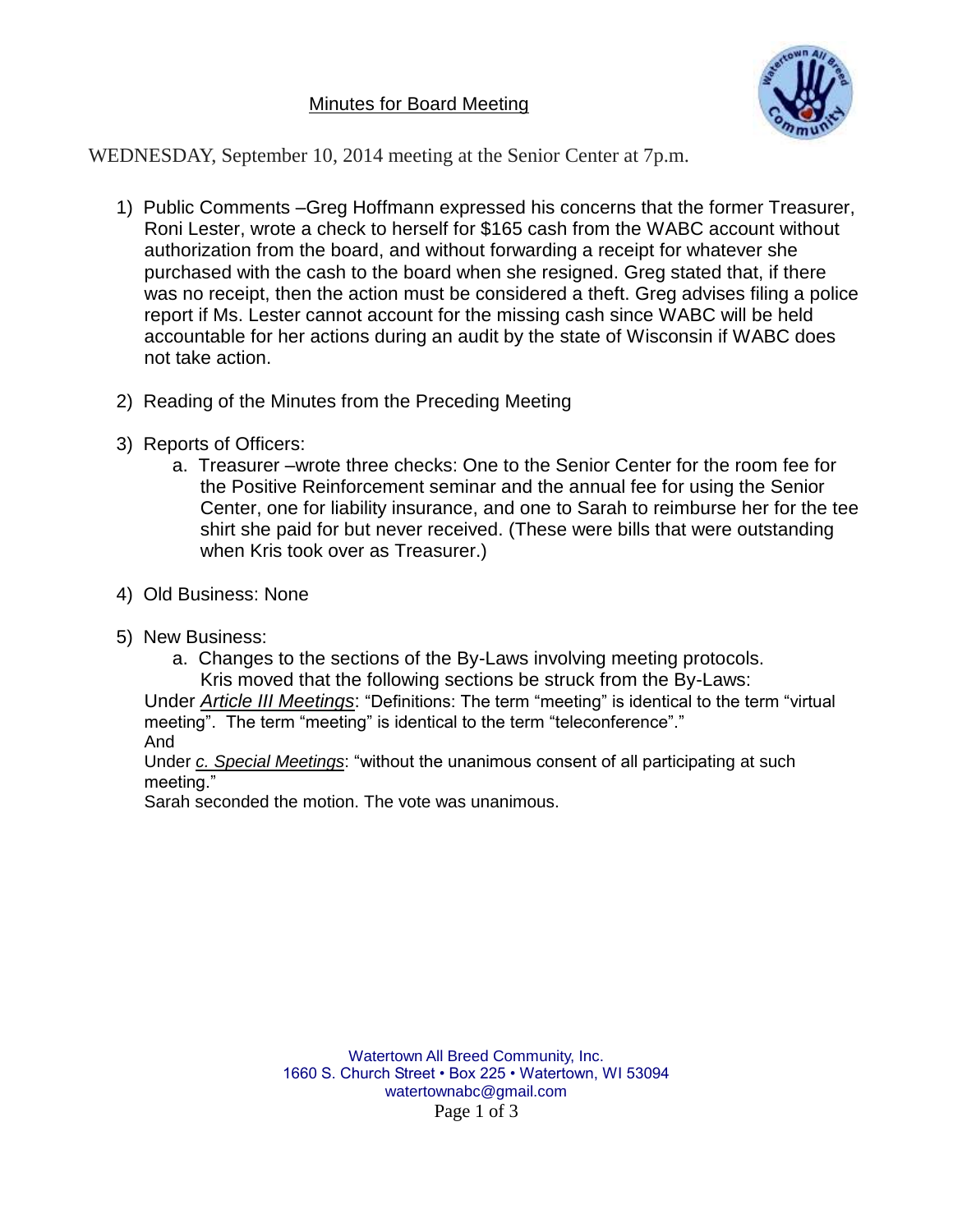## Minutes for Board Meeting



WEDNESDAY, September 10, 2014 meeting at the Senior Center at 7p.m.

- 1) Public Comments –Greg Hoffmann expressed his concerns that the former Treasurer, Roni Lester, wrote a check to herself for \$165 cash from the WABC account without authorization from the board, and without forwarding a receipt for whatever she purchased with the cash to the board when she resigned. Greg stated that, if there was no receipt, then the action must be considered a theft. Greg advises filing a police report if Ms. Lester cannot account for the missing cash since WABC will be held accountable for her actions during an audit by the state of Wisconsin if WABC does not take action.
- 2) Reading of the Minutes from the Preceding Meeting
- 3) Reports of Officers:
	- a. Treasurer –wrote three checks: One to the Senior Center for the room fee for the Positive Reinforcement seminar and the annual fee for using the Senior Center, one for liability insurance, and one to Sarah to reimburse her for the tee shirt she paid for but never received. (These were bills that were outstanding when Kris took over as Treasurer.)
- 4) Old Business: None
- 5) New Business:
	- a. Changes to the sections of the By-Laws involving meeting protocols. Kris moved that the following sections be struck from the By-Laws:

Under *Article III Meetings*: "Definitions: The term "meeting" is identical to the term "virtual meeting". The term "meeting" is identical to the term "teleconference"." And

Under *c. Special Meetings*: "without the unanimous consent of all participating at such meeting."

Sarah seconded the motion. The vote was unanimous.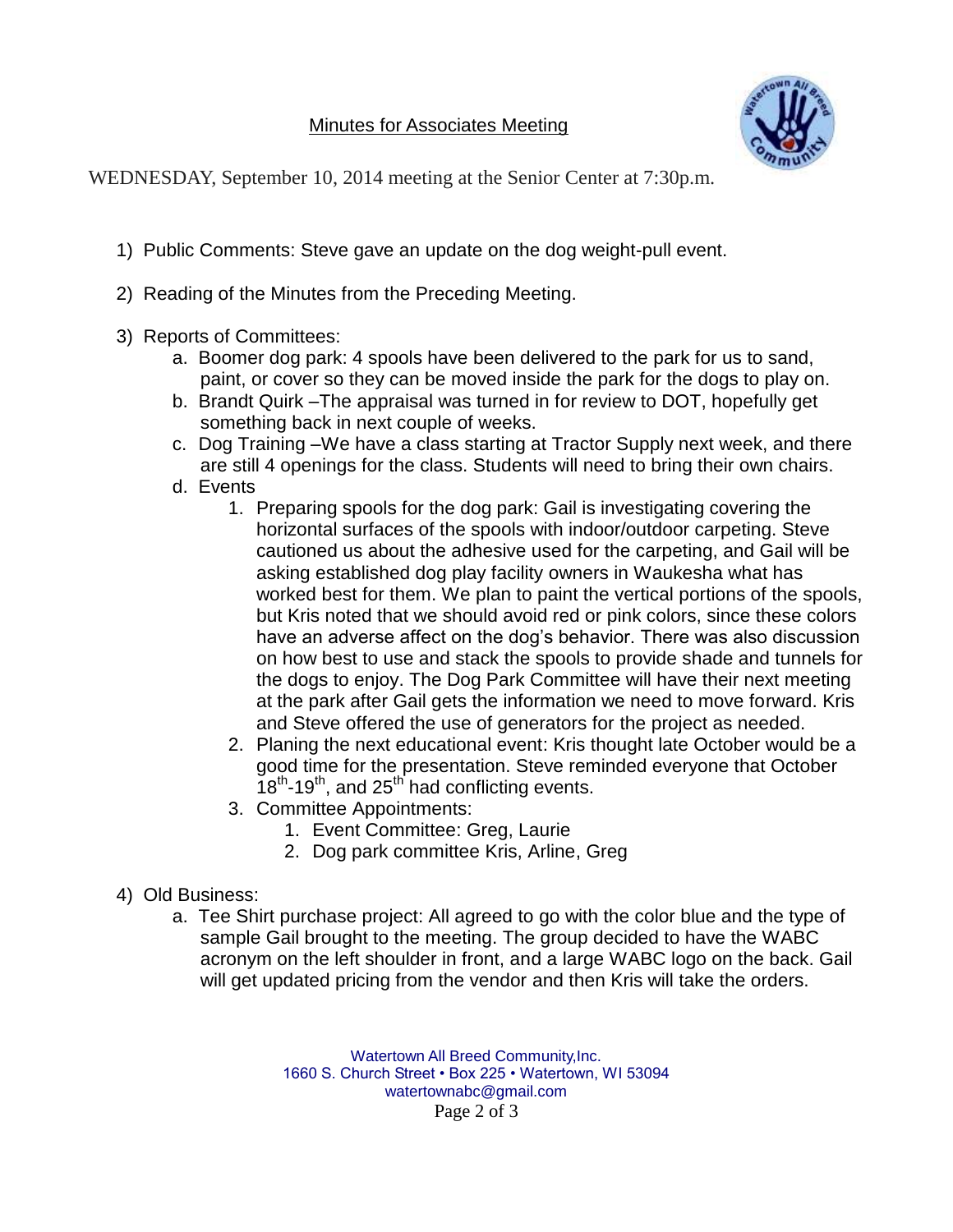

WEDNESDAY, September 10, 2014 meeting at the Senior Center at 7:30p.m.

- 1) Public Comments: Steve gave an update on the dog weight-pull event.
- 2) Reading of the Minutes from the Preceding Meeting.
- 3) Reports of Committees:
	- a. Boomer dog park: 4 spools have been delivered to the park for us to sand, paint, or cover so they can be moved inside the park for the dogs to play on.
	- b. Brandt Quirk –The appraisal was turned in for review to DOT, hopefully get something back in next couple of weeks.
	- c. Dog Training –We have a class starting at Tractor Supply next week, and there are still 4 openings for the class. Students will need to bring their own chairs.
	- d. Events
		- 1. Preparing spools for the dog park: Gail is investigating covering the horizontal surfaces of the spools with indoor/outdoor carpeting. Steve cautioned us about the adhesive used for the carpeting, and Gail will be asking established dog play facility owners in Waukesha what has worked best for them. We plan to paint the vertical portions of the spools, but Kris noted that we should avoid red or pink colors, since these colors have an adverse affect on the dog's behavior. There was also discussion on how best to use and stack the spools to provide shade and tunnels for the dogs to enjoy. The Dog Park Committee will have their next meeting at the park after Gail gets the information we need to move forward. Kris and Steve offered the use of generators for the project as needed.
		- 2. Planing the next educational event: Kris thought late October would be a good time for the presentation. Steve reminded everyone that October  $18^{th}$ -19<sup>th</sup>, and 25<sup>th</sup> had conflicting events.
		- 3. Committee Appointments:
			- 1. Event Committee: Greg, Laurie
			- 2. Dog park committee Kris, Arline, Greg

## 4) Old Business:

a. Tee Shirt purchase project: All agreed to go with the color blue and the type of sample Gail brought to the meeting. The group decided to have the WABC acronym on the left shoulder in front, and a large WABC logo on the back. Gail will get updated pricing from the vendor and then Kris will take the orders.

> Watertown All Breed Community,Inc. 1660 S. Church Street • Box 225 • Watertown, WI 53094 watertownabc@gmail.com Page 2 of 3